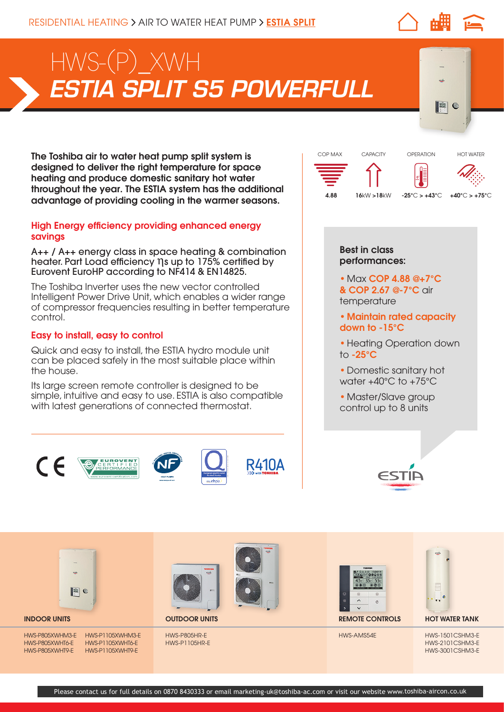# *ESTIA SPLIT S5 POWERFULL*  HWS-(P)\_XWH

The Toshiba air to water heat pump split system is designed to deliver the right temperature for space heating and produce domestic sanitary hot water throughout the year. The ESTIA system has the additional advantage of providing cooling in the warmer seasons.

### High Energy efficiency providing enhanced energy savings

A++ / A++ energy class in space heating & combination heater. Part Load efficiency ηs up to 175% certified by Eurovent EuroHP according to NF414 & EN14825.

The Toshiba Inverter uses the new vector controlled Intelligent Power Drive Unit, which enables a wider range of compressor frequencies resulting in better temperature control.

#### Easy to install, easy to control

Quick and easy to install, the ESTIA hydro module unit can be placed safely in the most suitable place within the house.

Its large screen remote controller is designed to be simple, intuitive and easy to use. ESTIA is also compatible with latest generations of connected thermostat.





 $\bullet$